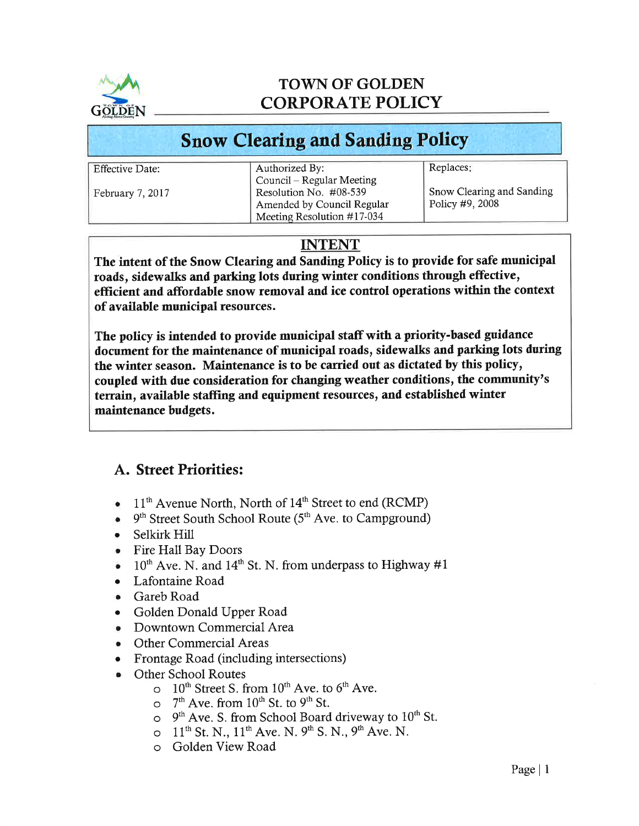

# TOWN OF GOLDEN CORPORATE POLICY

# Snow Clearing and Sanding Policy

| <b>Effective Date:</b> | Authorized By:                | Replaces:                 |
|------------------------|-------------------------------|---------------------------|
|                        | Council – Regular Meeting     |                           |
| February 7, 2017       | Resolution No. #08-539        | Snow Clearing and Sanding |
|                        | Amended by Council Regular    | Policy #9, 2008           |
|                        | Meeting Resolution $\#17-034$ |                           |

# INTENT

The intent of the Snow Clearing and Sanding Policy is to provide for safe municipal roads, sidewalks and parking lots during winter conditions through effective, effïcient and affordable snow removal and ice control operations within the context of available municipal resources.

The policy is intended to provide municipal staff with a priority-based guidance document for the maintenance of municipal roads, sidewalks and parking lots during the winter season. Maintenance is to be carried out as dictated by this policy, coupled with due consideration for changing weather conditions, the community's terrain, available staffing and equipment resources, and established winter maintenance budgets.

# A. Street Priorities:

- $\bullet$  11<sup>th</sup> Avenue North, North of 14<sup>th</sup> Street to end (RCMP)
- $\bullet$  9<sup>th</sup> Street South School Route (5<sup>th</sup> Ave. to Campground)
- . Selkirk Hill
- o Fire Hall Bay Doors
- $\bullet$  10<sup>th</sup> Ave. N. and 14<sup>th</sup> St. N. from underpass to Highway #1
- o Lafontaine Road
- . Gareb Road
- . Golden Donald Upper Road
- Downtown Commercial Area
- . Other Commercial Areas
- Frontage Road (including intersections)
- . Other School Routes
	- $\circ$  10<sup>th</sup> Street S. from 10<sup>th</sup> Ave. to 6<sup>th</sup> Ave.
		- $\circ$  7<sup>th</sup> Ave. from 10<sup>th</sup> St. to 9<sup>th</sup> St.
		- $\circ$  9<sup>th</sup> Ave. S. from School Board driveway to 10<sup>th</sup> St.
		- $O_{11}^{\text{th}}$  St. N.,  $11^{\text{th}}$  Ave. N.  $9^{\text{th}}$  S. N.,  $9^{\text{th}}$  Ave. N.
		- Golden View Road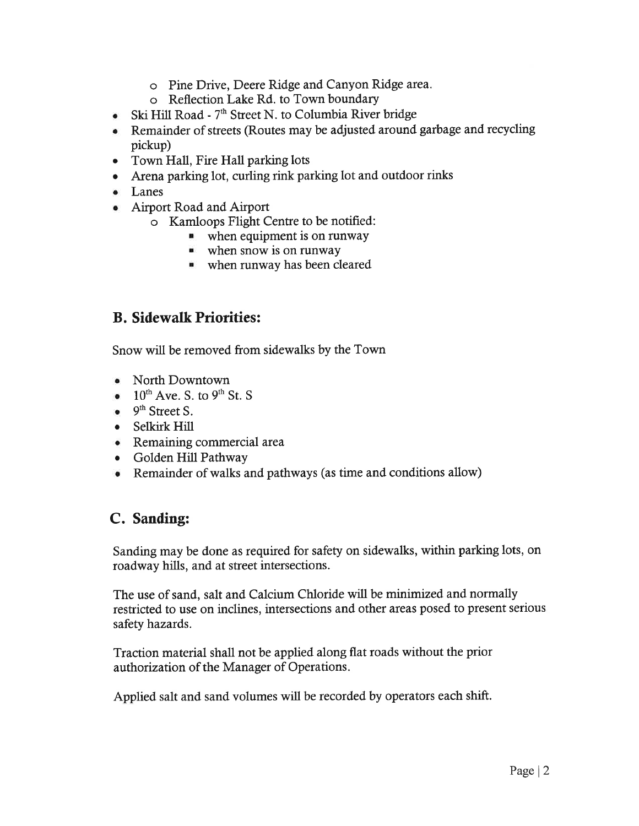- o Pine Drive, Deere Ridge and Canyon Ridge area.
- o Reflection Lake Rd. to Town boundary
- Ski Hill Road  $7<sup>th</sup>$  Street N. to Columbia River bridge
- Remainder of streets (Routes may be adjusted around garbage and recycling pickup)
- Town Hall, Fire Hall parking lots
- o Arena parking lot, curling rink parking lot and outdoor rinks
- . Lanes
- o Airport Road and Airport
	- o Kamloops Flight Centre to be notified:
		- $\blacksquare$  when equipment is on runway
		- **when snow is on runway**
		- ' when runway has been cleared

## B. Sidewalk Priorities:

Snow will be removed from sidewalks by the Town

- North Downtown
- $\bullet$  10<sup>th</sup> Ave. S. to 9<sup>th</sup> St. S
- $\bullet$  9<sup>th</sup> Street S.
- Selkirk Hill
- o Remaining commercial arca
- o Golden Hill Pathway
- Remainder of walks and pathways (as time and conditions allow)

#### C. Sanding:

Sanding may be done as required for safety on sidewalks, within parking lots, on roadway hills, and at street intersections.

The use of sand, salt and Calcium Chloride will be minimized and normally restricted to use on inclines, intersections and other areas posed to present serious safety hazards.

Traction material shall not be applied along flat roads without the prior authorization of the Manager of Operations.

Applied salt and sand volumes will be recorded by operators each shift.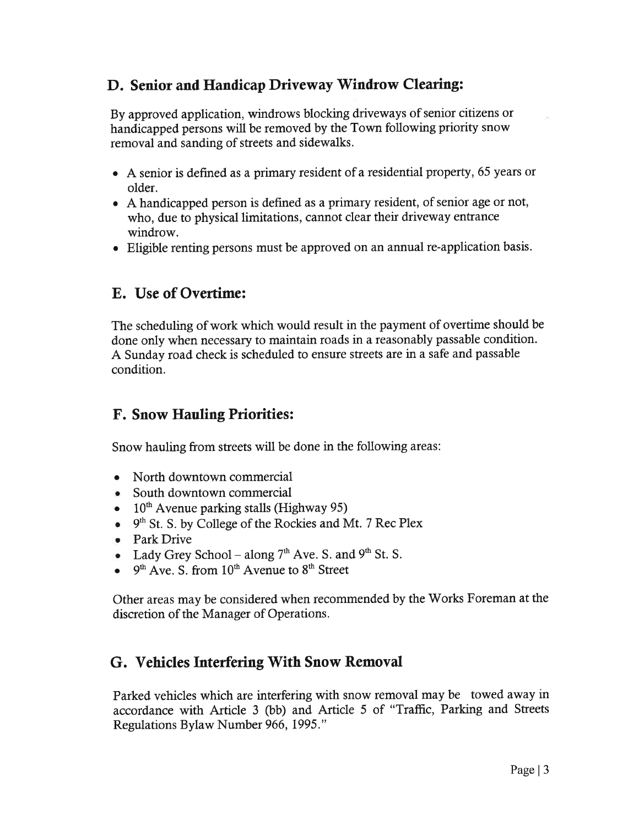## D. Senior and Handicap Driveway Windrow Clearing:

By approved application, windrows blocking driveways of senior citizens or handicapped persons will be removed by the Town following priority snow removal and sanding of streets and sidewalks.

- o A senior is defined as a primary resident of a residential property, 65 years or older.
- o A handicapped person is defined as a primary resident, of senior age or not, who, due to physical limitations, cannot clear their driveway entrance windrow.
- o Eligible renting persons must be approved on an annual re-application basis.

#### E. Use of Overtime:

The scheduling of work which would result in the payment of overtime should be done only when necessary to maintain roads in a reasonably passable condition. A Sunday road check is scheduled to ensure streets are in a safe and passable condition.

#### F. Snow Hauling Priorities:

Snow hauling from sfreets will be done in the following areas:

- North downtown commercial
- South downtown commercial
- $\bullet$  10<sup>th</sup> Avenue parking stalls (Highway 95)
- $\bullet$  9<sup>th</sup> St. S. by College of the Rockies and Mt. 7 Rec Plex
- o Park Drive
- Lady Grey School along  $7<sup>th</sup>$  Ave. S. and  $9<sup>th</sup>$  St. S.
- $9<sup>th</sup>$  Ave. S. from  $10<sup>th</sup>$  Avenue to  $8<sup>th</sup>$  Street

Other areas may be considered when recommended by the Works Foreman at the discretion of the Manager of Operations.

#### G. Vehicles Interfering With Snow Removal

Parked vehicles which are interfering with snow removal may be towed away in accordance with Article 3 (bb) and Article 5 of "Traffic, Parking and Streets Regulations Bylaw Number 966, 1995."